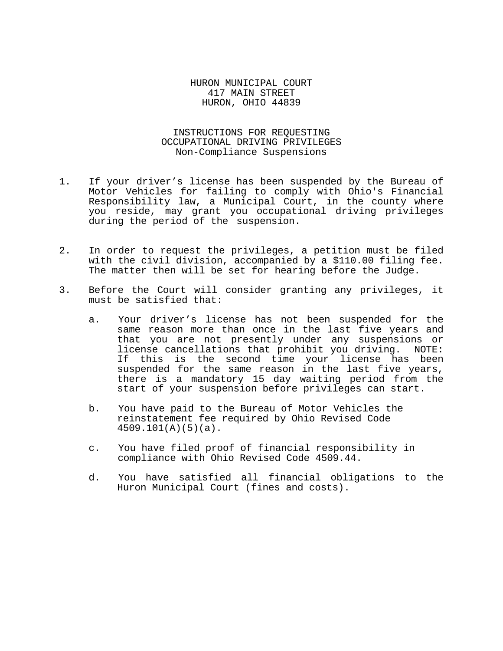HURON MUNICIPAL COURT 417 MAIN STREET HURON, OHIO 44839

INSTRUCTIONS FOR REQUESTING OCCUPATIONAL DRIVING PRIVILEGES Non-Compliance Suspensions

- 1. If your driver's license has been suspended by the Bureau of Motor Vehicles for failing to comply with Ohio's Financial Responsibility law, a Municipal Court, in the county where you reside, may grant you occupational driving privileges during the period of the suspension.
- 2. In order to request the privileges, a petition must be filed with the civil division, accompanied by a \$110.00 filing fee. The matter then will be set for hearing before the Judge.
- 3. Before the Court will consider granting any privileges, it must be satisfied that:
	- a. Your driver's license has not been suspended for the same reason more than once in the last five years and<br>that you are not presently under any suspensions or license cancellations that prohibit you driving. NOTE:<br>If this is the second time your license has been<br>suspended for the same reason in the last five years,<br>there is a mandatory 15 day waiting period from the<br>start of you
	- b. You have paid to the Bureau of Motor Vehicles the reinstatement fee required by Ohio Revised Code 4509.101(A)(5)(a).
	- c. You have filed proof of financial responsibility in compliance with Ohio Revised Code 4509.44.
	- d. You have satisfied all financial obligations to the Huron Municipal Court (fines and costs).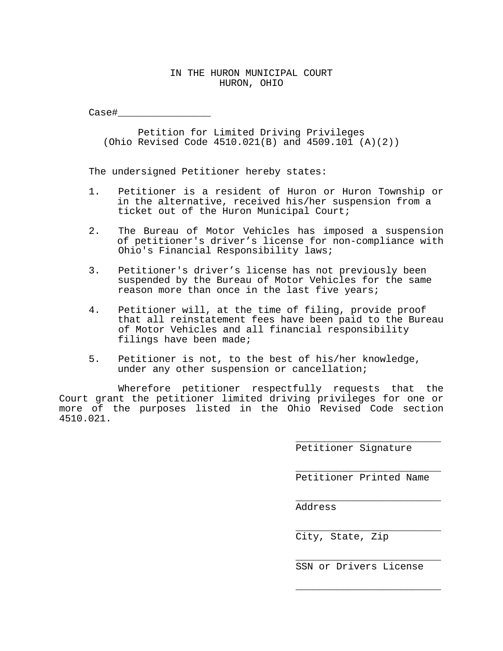## IN THE HURON MUNICIPAL COURT HURON, OHIO

Case#\_\_\_\_\_\_\_\_\_\_\_\_\_\_\_\_

Petition for Limited Driving Privileges (Ohio Revised Code 4510.021(B) and 4509.101 (A)(2))

The undersigned Petitioner hereby states:

- 1. Petitioner is a resident of Huron or Huron Township or in the alternative, received his/her suspension from a ticket out of the Huron Municipal Court;
- 2. The Bureau of Motor Vehicles has imposed a suspension of petitioner's driver's license for non-compliance with Ohio's Financial Responsibility laws;
- 3. Petitioner's driver's license has not previously been suspended by the Bureau of Motor Vehicles for the same reason more than once in the last five years;
- 4. Petitioner will, at the time of filing, provide proof that all reinstatement fees have been paid to the Bureau of Motor Vehicles and all financial responsibility filings have been made;
- 5. Petitioner is not, to the best of his/her knowledge,<br>under any other suspension or cancellation;

Wherefore petitioner respectfully requests that the Court grant the petitioner limited driving privileges for one or more of the purposes listed in the Ohio Revised Code section 4510.021.

> \_\_\_\_\_\_\_\_\_\_\_\_\_\_\_\_\_\_\_\_\_\_\_\_\_ Petitioner Signature

> \_\_\_\_\_\_\_\_\_\_\_\_\_\_\_\_\_\_\_\_\_\_\_\_\_ Petitioner Printed Name

> \_\_\_\_\_\_\_\_\_\_\_\_\_\_\_\_\_\_\_\_\_\_\_\_\_ Address

> \_\_\_\_\_\_\_\_\_\_\_\_\_\_\_\_\_\_\_\_\_\_\_\_\_ City, State, Zip

> \_\_\_\_\_\_\_\_\_\_\_\_\_\_\_\_\_\_\_\_\_\_\_\_\_ SSN or Drivers License

> \_\_\_\_\_\_\_\_\_\_\_\_\_\_\_\_\_\_\_\_\_\_\_\_\_